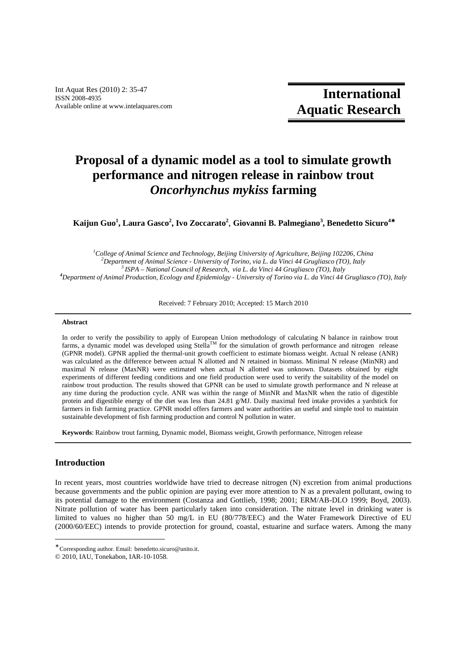Int Aquat Res (2010) 2: 35-47 ISSN 2008-4935 Available online at www.intelaquares.com

# **Proposal of a dynamic model as a tool to simulate growth performance and nitrogen release in rainbow trout**  *Oncorhynchus mykiss* **farming**

**Kaijun Guo<sup>1</sup> , Laura Gasco<sup>2</sup> , Ivo Zoccarato<sup>2</sup>** , **Giovanni B. Palmegiano<sup>3</sup> , Benedetto Sicuro<sup>4</sup>**<sup>∗</sup>

*College of Animal Science and Technology, Beijing University of Agriculture, Beijing 102206, China Department of Animal Science - University of Torino, via L. da Vinci 44 Grugliasco (TO), Italy ISPA – National Council of Research, via L. da Vinci 44 Grugliasco (TO), Italy Department of Animal Production, Ecology and Epidemiolgy - University of Torino via L. da Vinci 44 Grugliasco (TO), Italy* 

Received: 7 February 2010; Accepted: 15 March 2010 ــــــــــــــــــــــــــــــــــــــــــــــــــــــــــــــــــــــــــــــــــــــــــــــــــــــــــــــــــــــــــــــــــــــــــــــــــــــــــــــــــــــــــــــــــــــــــــ

# **Abstract**

In order to verify the possibility to apply of European Union methodology of calculating N balance in rainbow trout farms, a dynamic model was developed using Stella<sup>TM</sup> for the simulation of growth performance and nitrogen release (GPNR model). GPNR applied the thermal-unit growth coefficient to estimate biomass weight. Actual N release (ANR) was calculated as the difference between actual N allotted and N retained in biomass. Minimal N release (MinNR) and maximal N release (MaxNR) were estimated when actual N allotted was unknown. Datasets obtained by eight experiments of different feeding conditions and one field production were used to verify the suitability of the model on rainbow trout production. The results showed that GPNR can be used to simulate growth performance and N release at any time during the production cycle. ANR was within the range of MinNR and MaxNR when the ratio of digestible protein and digestible energy of the diet was less than 24.81 g/MJ. Daily maximal feed intake provides a yardstick for farmers in fish farming practice. GPNR model offers farmers and water authorities an useful and simple tool to maintain sustainable development of fish farming production and control N pollution in water.

**Keywords**: Rainbow trout farming, Dynamic model, Biomass weight, Growth performance, Nitrogen release

# **Introduction**

-

In recent years, most countries worldwide have tried to decrease nitrogen (N) excretion from animal productions because governments and the public opinion are paying ever more attention to N as a prevalent pollutant, owing to its potential damage to the environment (Costanza and Gottlieb, 1998; 2001; ERM/AB-DLO 1999; Boyd, 2003). Nitrate pollution of water has been particularly taken into consideration. The nitrate level in drinking water is limited to values no higher than 50 mg/L in EU (80/778/EEC) and the Water Framework Directive of EU (2000/60/EEC) intends to provide protection for ground, coastal, estuarine and surface waters. Among the many

ــــــــــــــــــــــــــــــــــــــــــــــــــــــــــــــــــــــــــــــــــــــــــــــــــــــــــــــــــــــــــــــــــــــــــــــــــــــــــــــــــــــــــــــــــــــــــــ

<sup>∗</sup> Corresponding author. Email: benedetto.sicuro@unito.it.

<sup>© 2010,</sup> IAU, Tonekabon, IAR-10-1058.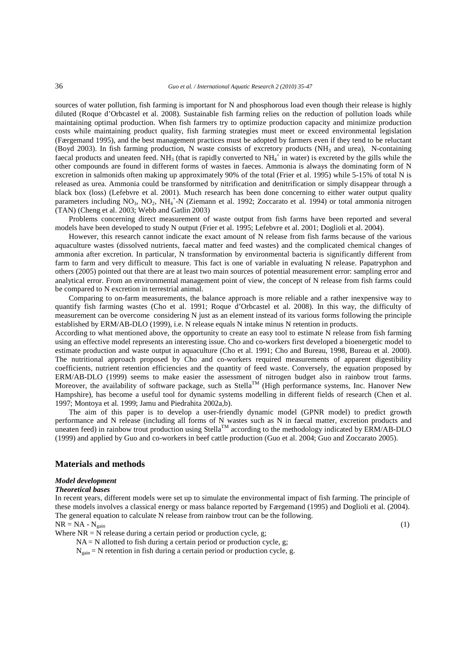sources of water pollution, fish farming is important for N and phosphorous load even though their release is highly diluted (Roque d'Orbcastel et al. 2008). Sustainable fish farming relies on the reduction of pollution loads while maintaining optimal production. When fish farmers try to optimize production capacity and minimize production costs while maintaining product quality, fish farming strategies must meet or exceed environmental legislation (Færgemand 1995), and the best management practices must be adopted by farmers even if they tend to be reluctant (Boyd 2003). In fish farming production, N waste consists of excretory products (NH3 and urea), N-containing faecal products and uneaten feed. NH<sub>3</sub> (that is rapidly converted to NH<sub>4</sub><sup>+</sup> in water) is excreted by the gills while the other compounds are found in different forms of wastes in faeces. Ammonia is always the dominating form of N excretion in salmonids often making up approximately 90% of the total (Frier et al. 1995) while 5-15% of total N is released as urea. Ammonia could be transformed by nitrification and denitrification or simply disappear through a black box (loss) (Lefebvre et al. 2001). Much research has been done concerning to either water output quality parameters including NO<sub>3</sub>, NO<sub>2</sub>, NH<sub>4</sub><sup>+</sup>-N (Ziemann et al. 1992; Zoccarato et al. 1994) or total ammonia nitrogen (TAN) (Cheng et al. 2003; Webb and Gatlin 2003)

Problems concerning direct measurement of waste output from fish farms have been reported and several models have been developed to study N output (Frier et al. 1995; Lefebvre et al. 2001; Doglioli et al. 2004).

However, this research cannot indicate the exact amount of N release from fish farms because of the various aquaculture wastes (dissolved nutrients, faecal matter and feed wastes) and the complicated chemical changes of ammonia after excretion. In particular, N transformation by environmental bacteria is significantly different from farm to farm and very difficult to measure. This fact is one of variable in evaluating N release. Papatryphon and others (2005) pointed out that there are at least two main sources of potential measurement error: sampling error and analytical error. From an environmental management point of view, the concept of N release from fish farms could be compared to N excretion in terrestrial animal.

Comparing to on-farm measurements, the balance approach is more reliable and a rather inexpensive way to quantify fish farming wastes (Cho et al. 1991; Roque d'Orbcastel et al. 2008). In this way, the difficulty of measurement can be overcome considering N just as an element instead of its various forms following the principle established by ERM/AB-DLO (1999), i.e. N release equals N intake minus N retention in products.

According to what mentioned above, the opportunity to create an easy tool to estimate N release from fish farming using an effective model represents an interesting issue. Cho and co-workers first developed a bioenergetic model to estimate production and waste output in aquaculture (Cho et al. 1991; Cho and Bureau, 1998, Bureau et al. 2000). The nutritional approach proposed by Cho and co-workers required measurements of apparent digestibility coefficients, nutrient retention efficiencies and the quantity of feed waste. Conversely, the equation proposed by ERM/AB-DLO (1999) seems to make easier the assessment of nitrogen budget also in rainbow trout farms. Moreover, the availability of software package, such as Stella<sup>TM</sup> (High performance systems, Inc. Hanover New Hampshire), has become a useful tool for dynamic systems modelling in different fields of research (Chen et al. 1997; Montoya et al. 1999; Jamu and Piedrahita 2002a,b).

The aim of this paper is to develop a user-friendly dynamic model (GPNR model) to predict growth performance and N release (including all forms of N wastes such as N in faecal matter, excretion products and uneaten feed) in rainbow trout production using Stella<sup>TM</sup> according to the methodology indicated by ERM/AB-DLO (1999) and applied by Guo and co-workers in beef cattle production (Guo et al. 2004; Guo and Zoccarato 2005).

## **Materials and methods**

#### *Model development*

### *Theoretical bases*

In recent years, different models were set up to simulate the environmental impact of fish farming. The principle of these models involves a classical energy or mass balance reported by Færgemand (1995) and Doglioli et al. (2004). The general equation to calculate N release from rainbow trout can be the following.

 $NR = NA - N_{\text{gain}}$  (1)

Where  $NR = N$  release during a certain period or production cycle, g;

 $NA = N$  allotted to fish during a certain period or production cycle, g;

 $N_{\text{gain}}$  = N retention in fish during a certain period or production cycle, g.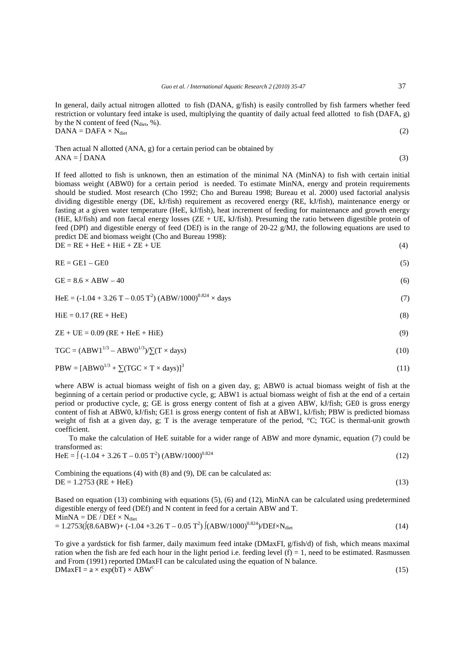In general, daily actual nitrogen allotted to fish (DANA, g/fish) is easily controlled by fish farmers whether feed restriction or voluntary feed intake is used, multiplying the quantity of daily actual feed allotted to fish (DAFA, g) by the N content of feed  $(N_{\text{dict}}, %)$ .  $DANA = DAFA \times N_{\text{dict}}$  (2)

Then actual N allotted (ANA, g) for a certain period can be obtained by  $ANA = \text{DANA}$  (3)

If feed allotted to fish is unknown, then an estimation of the minimal NA (MinNA) to fish with certain initial biomass weight (ABW0) for a certain period is needed. To estimate MinNA, energy and protein requirements should be studied. Most research (Cho 1992; Cho and Bureau 1998; Bureau et al. 2000) used factorial analysis dividing digestible energy (DE, kJ/fish) requirement as recovered energy (RE, kJ/fish), maintenance energy or fasting at a given water temperature (HeE, kJ/fish), heat increment of feeding for maintenance and growth energy (HiE, kJ/fish) and non faecal energy losses (ZE + UE, kJ/fish). Presuming the ratio between digestible protein of feed (DPf) and digestible energy of feed (DEf) is in the range of 20-22 g/MJ, the following equations are used to predict DE and biomass weight (Cho and Bureau 1998):  $DE = RE + HeE + HIE + ZE + UE$  (4)

$$
RE = GE1 - GE0 \tag{5}
$$

$$
GE = 8.6 \times ABW - 40 \tag{6}
$$

HeE =  $(-1.04 + 3.26 \text{ T} - 0.05 \text{ T}^2) (\text{ABW}/1000)^{0.824} \times \text{days}$  (7)

$$
HiE = 0.17 (RE + HeE)
$$
 (8)

 $ZE + UE = 0.09 (RE + HeE + HiE)$  (9)

$$
TGC = (ABW11/3 - ABW01/3) / \sum (T \times days)
$$
 (10)

$$
PBW = [ABW0^{1/3} + \sum (TGC \times T \times days)]^3
$$
\n(11)

where ABW is actual biomass weight of fish on a given day, g; ABW0 is actual biomass weight of fish at the beginning of a certain period or productive cycle, g; ABW1 is actual biomass weight of fish at the end of a certain period or productive cycle, g; GE is gross energy content of fish at a given ABW, kJ/fish; GE0 is gross energy content of fish at ABW0, kJ/fish; GE1 is gross energy content of fish at ABW1, kJ/fish; PBW is predicted biomass weight of fish at a given day, g; T is the average temperature of the period, °C; TGC is thermal-unit growth coefficient.

To make the calculation of HeE suitable for a wider range of ABW and more dynamic, equation (7) could be transformed as:

$$
HeE = \int (-1.04 + 3.26 \text{ T} - 0.05 \text{ T}^2) (\text{ABW}/1000)^{0.824} \tag{12}
$$

Combining the equations (4) with (8) and (9), DE can be calculated as:  $DE = 1.2753 (RE + HeE)$  (13)

Based on equation (13) combining with equations (5), (6) and (12), MinNA can be calculated using predetermined digestible energy of feed (DEf) and N content in feed for a certain ABW and T.  $MinNA = DE / DEf \times N_{dict}$  $= 1.2753 \left( (8.6ABW) + (-1.04 + 3.26 T - 0.05 T^2) \left( (ABW/1000)^{0.824} \right) / DEF \times N_{\text{dict}}$  (14)

To give a yardstick for fish farmer, daily maximum feed intake (DMaxFI, g/fish/d) of fish, which means maximal ration when the fish are fed each hour in the light period i.e. feeding level (f) = 1, need to be estimated. Rasmussen and From (1991) reported DMaxFI can be calculated using the equation of N balance.  $DMaxFI = a \times exp(bT) \times ABW^c$ (15)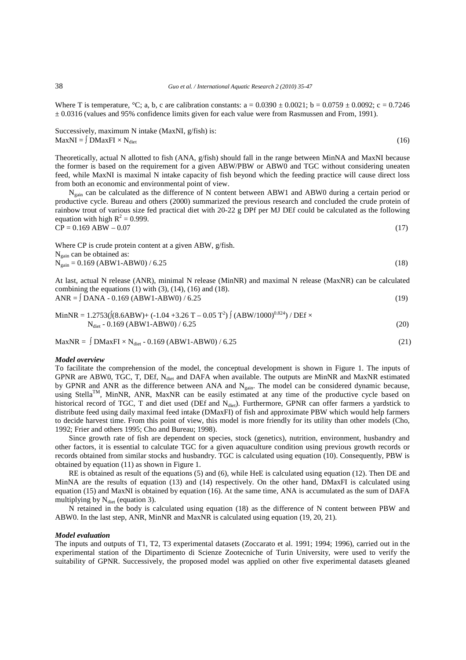Where T is temperature,  ${}^{\circ}C$ ; a, b, c are calibration constants: a = 0.0390  $\pm$  0.0021; b = 0.0759  $\pm$  0.0092; c = 0.7246  $\pm$  0.0316 (values and 95% confidence limits given for each value were from Rasmussen and From, 1991).

Successively, maximum N intake (MaxNI, g/fish) is:  $\text{MaxNI} = \int \text{DMa}x \text{FI} \times \text{N}_{\text{dict}}$  (16)

Theoretically, actual N allotted to fish (ANA, g/fish) should fall in the range between MinNA and MaxNI because the former is based on the requirement for a given ABW/PBW or ABW0 and TGC without considering uneaten feed, while MaxNI is maximal N intake capacity of fish beyond which the feeding practice will cause direct loss from both an economic and environmental point of view.

Ngain can be calculated as the difference of N content between ABW1 and ABW0 during a certain period or productive cycle. Bureau and others (2000) summarized the previous research and concluded the crude protein of rainbow trout of various size fed practical diet with 20-22 g DPf per MJ DEf could be calculated as the following equation with high  $R^2 = 0.999$ .

 $\overline{CP} = 0.169 \text{ ABW} - 0.07$  (17)

Where CP is crude protein content at a given ABW, g/fish.  $N<sub>gain</sub>$  can be obtained as:  $N_{\text{gain}} = 0.169 \text{ (ABW1-ABW0)} / 6.25$  (18) At last, actual N release (ANR), minimal N release (MinNR) and maximal N release (MaxNR) can be calculated

combining the equations  $(1)$  with  $(3)$ ,  $(14)$ ,  $(16)$  and  $(18)$ .  $\text{ANR} = \int \text{DANA} - 0.169 \, (\text{ABW1-ABW0}) / 6.25$  (19)

$$
\text{MinNR} = 1.2753 \left( \left\{ (8.6ABW) + (-1.04 + 3.26 \text{ T} - 0.05 \text{ T}^2) \right\} \left( \text{ABW} / 1000 \right)^{0.824} \right) / \text{DEf} \times \text{N}_{\text{dict}} \cdot 0.169 \left( \text{ABW} 1 - \text{ABW} 0 \right) / 6.25 \tag{20}
$$

 $MaxNR = \int DMaxFI \times N_{\text{dict}} - 0.169 \text{ (ABW1-ABW0) / } 6.25$  (21)

#### *Model overview*

To facilitate the comprehension of the model, the conceptual development is shown in Figure 1. The inputs of GPNR are ABW0, TGC, T, DEf, N<sub>diet</sub> and DAFA when available. The outputs are MinNR and MaxNR estimated by GPNR and ANR as the difference between ANA and N<sub>gain</sub>. The model can be considered dynamic because, using Stella<sup>TM</sup>, MinNR, ANR, MaxNR can be easily estimated at any time of the productive cycle based on historical record of TGC, T and diet used (DEf and N<sub>diet</sub>). Furthermore, GPNR can offer farmers a yardstick to distribute feed using daily maximal feed intake (DMaxFI) of fish and approximate PBW which would help farmers to decide harvest time. From this point of view, this model is more friendly for its utility than other models (Cho, 1992; Frier and others 1995; Cho and Bureau; 1998).

Since growth rate of fish are dependent on species, stock (genetics), nutrition, environment, husbandry and other factors, it is essential to calculate TGC for a given aquaculture condition using previous growth records or records obtained from similar stocks and husbandry. TGC is calculated using equation (10). Consequently, PBW is obtained by equation (11) as shown in Figure 1.

RE is obtained as result of the equations (5) and (6), while HeE is calculated using equation (12). Then DE and MinNA are the results of equation (13) and (14) respectively. On the other hand, DMaxFI is calculated using equation (15) and MaxNI is obtained by equation (16). At the same time, ANA is accumulated as the sum of DAFA multiplying by  $N_{\text{dict}}$  (equation 3).

N retained in the body is calculated using equation (18) as the difference of N content between PBW and ABW0. In the last step, ANR, MinNR and MaxNR is calculated using equation (19, 20, 21).

## *Model evaluation*

The inputs and outputs of T1, T2, T3 experimental datasets (Zoccarato et al. 1991; 1994; 1996), carried out in the experimental station of the Dipartimento di Scienze Zootecniche of Turin University, were used to verify the suitability of GPNR. Successively, the proposed model was applied on other five experimental datasets gleaned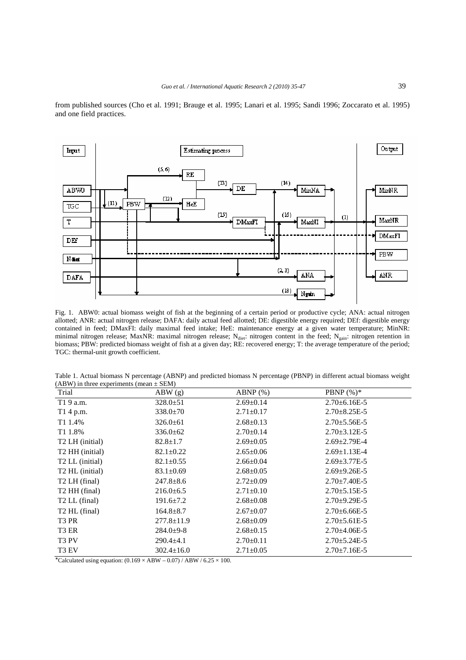from published sources (Cho et al. 1991; Brauge et al. 1995; Lanari et al. 1995; Sandi 1996; Zoccarato et al. 1995) and one field practices.



Fig. 1. ABW0: actual biomass weight of fish at the beginning of a certain period or productive cycle; ANA: actual nitrogen allotted; ANR: actual nitrogen release; DAFA: daily actual feed allotted; DE: digestible energy required; DEf: digestible energy contained in feed; DMaxFI: daily maximal feed intake; HeE: maintenance energy at a given water temperature; MinNR: minimal nitrogen release; MaxNR: maximal nitrogen release; N<sub>diet</sub>: nitrogen content in the feed; N<sub>gain</sub>: nitrogen retention in biomass; PBW: predicted biomass weight of fish at a given day; RE: recovered energy; T: the average temperature of the period; TGC: thermal-unit growth coefficient.

| Table 1. Actual biomass N percentage (ABNP) and predicted biomass N percentage (PBNP) in different actual biomass weight |  |  |
|--------------------------------------------------------------------------------------------------------------------------|--|--|
| $(ABW)$ in three experiments (mean $\pm$ SEM)                                                                            |  |  |

| Trial                       | ABW(g)           | $ABNP$ $(\%)$   | PBNP $(\%)^*$        |
|-----------------------------|------------------|-----------------|----------------------|
| T1 9 a.m.                   | $328.0 \pm 51$   | $2.69 \pm 0.14$ | $2.70 \pm 6.16E - 5$ |
| T1 4 p.m.                   | $338.0 \pm 70$   | $2.71 \pm 0.17$ | $2.70 \pm 8.25E - 5$ |
| T1 1.4%                     | $326.0 \pm 61$   | $2.68 \pm 0.13$ | $2.70 \pm 5.56E - 5$ |
| T <sub>1</sub> 1.8%         | $336.0 \pm 62$   | $2.70 \pm 0.14$ | $2.70 \pm 3.12E - 5$ |
| T <sub>2</sub> LH (initial) | $82.8 \pm 1.7$   | $2.69 \pm 0.05$ | $2.69 \pm 2.79E - 4$ |
| T <sub>2</sub> HH (initial) | $82.1 \pm 0.22$  | $2.65 \pm 0.06$ | $2.69 \pm 1.13E - 4$ |
| T <sub>2</sub> LL (initial) | $82.1 \pm 0.55$  | $2.66 \pm 0.04$ | $2.69 \pm 3.77E - 5$ |
| T <sub>2</sub> HL (initial) | $83.1 \pm 0.69$  | $2.68 \pm 0.05$ | $2.69 \pm 9.26E - 5$ |
| T <sub>2</sub> LH (final)   | $247.8 \pm 8.6$  | $2.72 \pm 0.09$ | $2.70 \pm 7.40E - 5$ |
| T <sub>2</sub> HH (final)   | $216.0\pm 6.5$   | $2.71 \pm 0.10$ | $2.70 \pm 5.15E - 5$ |
| T <sub>2</sub> LL (final)   | $191.6 \pm 7.2$  | $2.68 \pm 0.08$ | $2.70\pm9.29E-5$     |
| T <sub>2</sub> HL (final)   | $164.8 \pm 8.7$  | $2.67 \pm 0.07$ | $2.70 \pm 6.66E - 5$ |
| T3 PR                       | $277.8 \pm 11.9$ | $2.68 \pm 0.09$ | $2.70 \pm 5.61E - 5$ |
| T3 ER                       | $284.0 \pm 9-8$  | $2.68 \pm 0.15$ | $2.70 \pm 4.06E - 5$ |
| T <sub>3</sub> PV           | $290.4 \pm 4.1$  | $2.70 \pm 0.11$ | $2.70 \pm 5.24E - 5$ |
| T <sub>3</sub> EV           | $302.4 \pm 16.0$ | $2.71 \pm 0.05$ | $2.70 \pm 7.16E - 5$ |

\*Calculated using equation:  $(0.169 \times ABW - 0.07)$  / ABW /  $6.25 \times 100$ .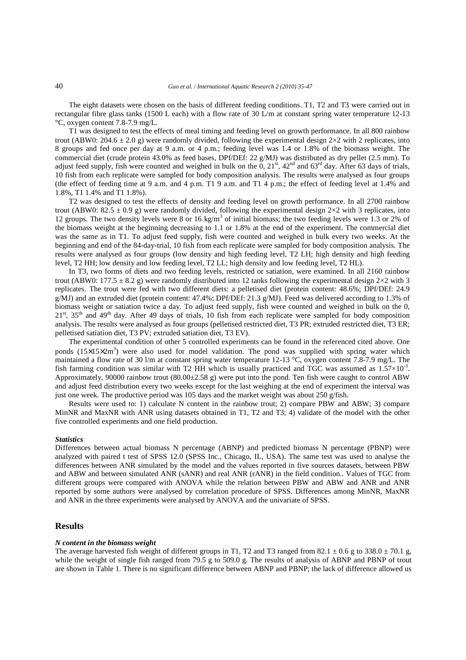The eight datasets were chosen on the basis of different feeding conditions. T1, T2 and T3 were carried out in rectangular fibre glass tanks (1500 L each) with a flow rate of 30 L/m at constant spring water temperature 12-13 °C, oxygen content 7.8-7.9 mg/L.

T1 was designed to test the effects of meal timing and feeding level on growth performance. In all 800 rainbow trout (ABW0: 204.6  $\pm$  2.0 g) were randomly divided, following the experimental design 2×2 with 2 replicates, into 8 groups and fed once per day at 9 a.m. or 4 p.m.; feeding level was 1.4 or 1.8% of the biomass weight. The commercial diet (crude protein 43.0% as feed bases, DPf/DEf: 22 g/MJ) was distributed as dry pellet (2.5 mm). To adjust feed supply, fish were counted and weighed in bulk on the  $0$ ,  $21<sup>st</sup>$ ,  $42<sup>nd</sup>$  and  $63<sup>rd</sup>$  day. After 63 days of trials, 10 fish from each replicate were sampled for body composition analysis. The results were analysed as four groups (the effect of feeding time at 9 a.m. and 4 p.m. T1 9 a.m. and T1 4 p.m.; the effect of feeding level at 1.4% and 1.8%, T1 1.4% and T1 1.8%).

T2 was designed to test the effects of density and feeding level on growth performance. In all 2700 rainbow trout (ABW0: 82.5  $\pm$  0.9 g) were randomly divided, following the experimental design 2×2 with 3 replicates, into 12 groups. The two density levels were 8 or 16 kg/m<sup>3</sup> of initial biomass; the two feeding levels were 1.3 or 2% of the biomass weight at the beginning decreasing to 1.1 or 1.8% at the end of the experiment. The commercial diet was the same as in T1. To adjust feed supply, fish were counted and weighed in bulk every two weeks. At the beginning and end of the 84-day-trial, 10 fish from each replicate were sampled for body composition analysis. The results were analysed as four groups (low density and high feeding level, T2 LH; high density and high feeding level, T2 HH; low density and low feeding level, T2 LL; high density and low feeding level, T2 HL).

In T3, two forms of diets and two feeding levels, restricted or satiation, were examined. In all 2160 rainbow trout (ABW0: 177.5  $\pm$  8.2 g) were randomly distributed into 12 tanks following the experimental design 2×2 with 3 replicates. The trout were fed with two different diets: a pelletised diet (protein content: 48.6%; DPf/DEf: 24.9 g/MJ) and an extruded diet (protein content: 47.4%; DPf/DEf: 21.3 g/MJ). Feed was delivered according to 1.3% of biomass weight or satiation twice a day. To adjust feed supply, fish were counted and weighed in bulk on the 0,  $21<sup>st</sup>$ ,  $35<sup>th</sup>$  and  $49<sup>th</sup>$  day. After 49 days of trials, 10 fish from each replicate were sampled for body composition analysis. The results were analysed as four groups (pelletised restricted diet, T3 PR; extruded restricted diet, T3 ER; pelletised satiation diet, T3 PV; extruded satiation diet, T3 EV).

The experimental condition of other 5 controlled experiments can be found in the referenced cited above. One ponds  $(15\times15\times2m^3)$  were also used for model validation. The pond was supplied with spring water which maintained a flow rate of 30 l/m at constant spring water temperature 12-13 °C, oxygen content 7.8-7.9 mg/L. The fish farming condition was similar with T2 HH which is usually practiced and TGC was assumed as  $1.57 \times 10^{-3}$ . Approximately, 90000 rainbow trout  $(80.00\pm 2.58 \text{ g})$  were put into the pond. Ten fish were caught to control ABW and adjust feed distribution every two weeks except for the last weighing at the end of experiment the interval was just one week. The productive period was 105 days and the market weight was about 250  $g/fish$ .

Results were used to: 1) calculate N content in the rainbow trout; 2) compare PBW and ABW; 3) compare MinNR and MaxNR with ANR using datasets obtained in T1, T2 and T3; 4) validate of the model with the other five controlled experiments and one field production.

#### *Statistics*

Differences between actual biomass N percentage (ABNP) and predicted biomass N percentage (PBNP) were analyzed with paired t test of SPSS 12.0 (SPSS Inc., Chicago, IL, USA). The same test was used to analyse the differences between ANR simulated by the model and the values reported in five sources datasets, between PBW and ABW and between simulated ANR (sANR) and real ANR (rANR) in the field condition.. Values of TGC from different groups were compared with ANOVA while the relation between PBW and ABW and ANR and ANR reported by some authors were analysed by correlation procedure of SPSS. Differences among MinNR, MaxNR and ANR in the three experiments were analysed by ANOVA and the univariate of SPSS.

## **Results**

#### *N content in the biomass weight*

The average harvested fish weight of different groups in T1, T2 and T3 ranged from 82.1  $\pm$  0.6 g to 338.0  $\pm$  70.1 g, while the weight of single fish ranged from 79.5 g to 509.0 g. The results of analysis of ABNP and PBNP of trout are shown in Table 1. There is no significant difference between ABNP and PBNP; the lack of difference allowed us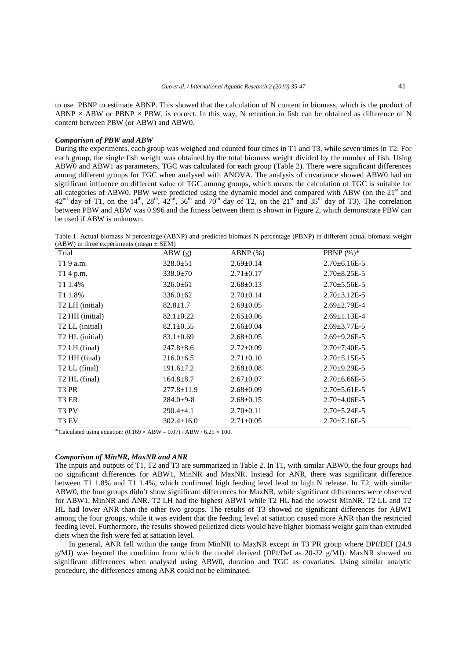to use PBNP to estimate ABNP. This showed that the calculation of N content in biomass, which is the product of ABNP  $\times$  ABW or PBNP  $\times$  PBW, is correct. In this way, N retention in fish can be obtained as difference of N content between PBW (or ABW) and ABW0.

## *Comparison of PBW and ABW*

During the experiments, each group was weighed and counted four times in T1 and T3, while seven times in T2. For each group, the single fish weight was obtained by the total biomass weight divided by the number of fish. Using ABW0 and ABW1 as parameters, TGC was calculated for each group (Table 2). There were significant differences among different groups for TGC when analysed with ANOVA. The analysis of covariance showed ABW0 had no significant influence on different value of TGC among groups, which means the calculation of TGC is suitable for all categories of ABW0. PBW were predicted using the dynamic model and compared with ABW (on the 21<sup>st</sup> and  $42<sup>nd</sup>$  day of T1, on the  $14<sup>th</sup>$ ,  $28<sup>th</sup>$ ,  $42<sup>nd</sup>$ ,  $56<sup>th</sup>$  and  $70<sup>th</sup>$  day of T2, on the  $21<sup>st</sup>$  and  $35<sup>th</sup>$  day of T3). The correlation between PBW and ABW was 0.996 and the fitness between them is shown in Figure 2, which demonstrate PBW can be used if ABW is unknown.

Table 1. Actual biomass N percentage (ABNP) and predicted biomass N percentage (PBNP) in different actual biomass weight (ABW) in three experiments (mean  $\pm$  SEM)

| Trial                       | ABW(g)           | $ABNP$ $(\%)$   | <b>PBNP</b> $(\%)^*$ |
|-----------------------------|------------------|-----------------|----------------------|
| T1 9 a.m.                   | $328.0 \pm 51$   | $2.69 \pm 0.14$ | $2.70\pm 6.16E-5$    |
| T1 4 p.m.                   | $338.0 \pm 70$   | $2.71 \pm 0.17$ | $2.70 \pm 8.25E - 5$ |
| T1 1.4%                     | $326.0 \pm 61$   | $2.68 \pm 0.13$ | $2.70 \pm 5.56E - 5$ |
| T1 1.8%                     | $336.0 \pm 62$   | $2.70 \pm 0.14$ | $2.70 \pm 3.12E - 5$ |
| T <sub>2</sub> LH (initial) | $82.8 \pm 1.7$   | $2.69 \pm 0.05$ | $2.69 \pm 2.79E - 4$ |
| T <sub>2</sub> HH (initial) | $82.1 \pm 0.22$  | $2.65 \pm 0.06$ | $2.69 \pm 1.13E - 4$ |
| T <sub>2</sub> LL (initial) | $82.1 \pm 0.55$  | $2.66 \pm 0.04$ | $2.69 \pm 3.77E - 5$ |
| T <sub>2</sub> HL (initial) | $83.1 \pm 0.69$  | $2.68 \pm 0.05$ | $2.69 \pm 9.26E - 5$ |
| T <sub>2</sub> LH (final)   | $247.8 \pm 8.6$  | $2.72 \pm 0.09$ | $2.70 \pm 7.40E - 5$ |
| T <sub>2</sub> HH (final)   | $216.0\pm 6.5$   | $2.71 \pm 0.10$ | $2.70 \pm 5.15E - 5$ |
| T <sub>2</sub> LL (final)   | $191.6 \pm 7.2$  | $2.68 \pm 0.08$ | $2.70\pm9.29E-5$     |
| T <sub>2</sub> HL (final)   | $164.8 \pm 8.7$  | $2.67 \pm 0.07$ | $2.70\pm 6.66E-5$    |
| T3 PR                       | $277.8 \pm 11.9$ | $2.68 \pm 0.09$ | $2.70 \pm 5.61E - 5$ |
| T3 ER                       | $284.0 \pm 9-8$  | $2.68 \pm 0.15$ | $2.70\pm4.06E-5$     |
| T <sub>3</sub> PV           | $290.4 \pm 4.1$  | $2.70 \pm 0.11$ | $2.70 \pm 5.24E - 5$ |
| T <sub>3</sub> EV           | $302.4 \pm 16.0$ | $2.71 \pm 0.05$ | $2.70 \pm 7.16E - 5$ |

∗ Calculated using equation:  $(0.169 \times ABW - 0.07)$  / ABW /  $6.25 \times 100$ .

#### *Comparison of MinNR, MaxNR and ANR*

The inputs and outputs of T1, T2 and T3 are summarized in Table 2. In T1, with similar ABW0, the four groups had no significant differences for ABW1, MinNR and MaxNR. Instead for ANR, there was significant difference between T1 1.8% and T1 1.4%, which confirmed high feeding level lead to high N release. In T2, with similar ABW0, the four groups didn't show significant differences for MaxNR, while significant differences were observed for ABW1, MinNR and ANR. T2 LH had the highest ABW1 while T2 HL had the lowest MinNR. T2 LL and T2 HL had lower ANR than the other two groups. The results of T3 showed no significant differences for ABW1 among the four groups, while it was evident that the feeding level at satiation caused more ANR than the restricted feeding level. Furthermore, the results showed pelletized diets would have higher biomass weight gain than extruded diets when the fish were fed at satiation level.

In general, ANR fell within the range from MinNR to MaxNR except in T3 PR group where DPf/DEf (24.9 g/MJ) was beyond the condition from which the model derived (DPf/Def as 20-22 g/MJ). MaxNR showed no significant differences when analysed using ABW0, duration and TGC as covariates. Using similar analytic procedure, the differences among ANR could not be eliminated.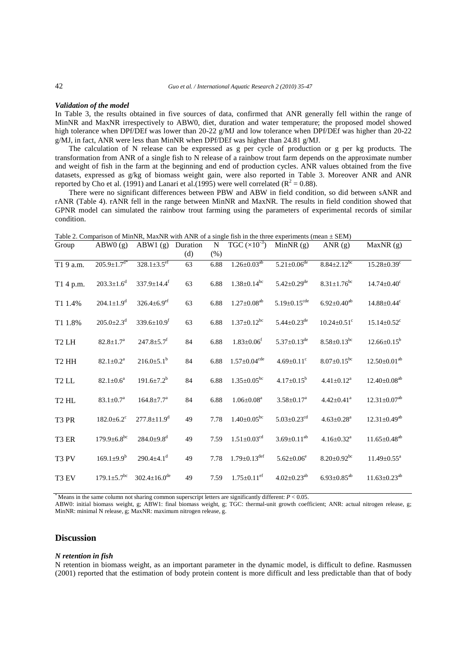#### *Validation of the model*

In Table 3, the results obtained in five sources of data, confirmed that ANR generally fell within the range of MinNR and MaxNR irrespectively to ABW0, diet, duration and water temperature; the proposed model showed high tolerance when DPf/DEf was lower than 20-22 g/MJ and low tolerance when DPf/DEf was higher than 20-22 g/MJ, in fact, ANR were less than MinNR when DPf/DEf was higher than 24.81 g/MJ.

The calculation of N release can be expressed as g per cycle of production or g per kg products. The transformation from ANR of a single fish to N release of a rainbow trout farm depends on the approximate number and weight of fish in the farm at the beginning and end of production cycles. ANR values obtained from the five datasets, expressed as g/kg of biomass weight gain, were also reported in Table 3. Moreover ANR and ANR reported by Cho et al. (1991) and Lanari et al. (1995) were well correlated ( $\mathbb{R}^2 = 0.88$ ).

There were no significant differences between PBW and ABW in field condition, so did between sANR and rANR (Table 4). rANR fell in the range between MinNR and MaxNR. The results in field condition showed that GPNR model can simulated the rainbow trout farming using the parameters of experimental records of similar condition.

| Group             | ABW0(g)                       | ABW1(g)                        | Duration<br>(d) | ${\bf N}$<br>(% ) | TGC $(\overline{\times 10^{-3}})$ | MinNR $(g)$                    | ANR $(g)$                     | MaxNR(g)                       |
|-------------------|-------------------------------|--------------------------------|-----------------|-------------------|-----------------------------------|--------------------------------|-------------------------------|--------------------------------|
| T19 a.m.          | $205.\overline{9\pm1.7^{d*}}$ | $328.1 \pm 3.5$ <sup>ef</sup>  | 63              | 6.88              | $1.26 \pm 0.03^{ab}$              | $5.21 \pm 0.06$ <sup>de</sup>  | $8.84 \pm 2.12$ <sup>bc</sup> | $15.28 \pm 0.39$ <sup>c</sup>  |
| T1 4 p.m.         | $203.3 \pm 1.6^d$             | $337.9 \pm 14.4$ <sup>f</sup>  | 63              | 6.88              | $1.38 \pm 0.14$ <sup>bc</sup>     | $5.42 \pm 0.29$ <sup>de</sup>  | $8.31 \pm 1.76$ <sup>bc</sup> | $14.74 \pm 0.40$ <sup>c</sup>  |
| T1 1.4%           | $204.1 \pm 1.9$ <sup>d</sup>  | $326.4 \pm 6.9$ <sup>ef</sup>  | 63              | 6.88              | $1.27 \pm 0.08$ <sup>ab</sup>     | $5.19 \pm 0.15$ <sup>cde</sup> | $6.92 \pm 0.40^{ab}$          | $14.88 \pm 0.44$ <sup>c</sup>  |
| T1 1.8%           | $205.0 \pm 2.3$ <sup>d</sup>  | 339.6 $\pm$ 10.9 <sup>f</sup>  | 63              | 6.88              | $1.37 \pm 0.12$ <sup>bc</sup>     | $5.44 \pm 0.23$ <sup>de</sup>  | $10.24 \pm 0.51$ <sup>c</sup> | $15.14 \pm 0.52$ <sup>c</sup>  |
| T <sub>2</sub> LH | $82.8 \pm 1.7^a$              | $247.8 \pm 5.7$ <sup>f</sup>   | 84              | 6.88              | $1.83 \pm 0.06$ <sup>f</sup>      | $5.37 \pm 0.13$ <sup>de</sup>  | $8.58 \pm 0.13$ <sup>bc</sup> | $12.66 \pm 0.15^b$             |
| T <sub>2</sub> HH | $82.1 \pm 0.2^a$              | $216.0 \pm 5.1^b$              | 84              | 6.88              | $1.57 \pm 0.04$ <sup>cde</sup>    | $4.69 \pm 0.11$ <sup>c</sup>   | $8.07 \pm 0.15$ <sup>bc</sup> | $12.50 \pm 0.01$ <sup>ab</sup> |
| T <sub>2</sub> LL | $82.1 \pm 0.6^a$              | $191.6 \pm 7.2^b$              | 84              | 6.88              | $1.35 \pm 0.05$ <sup>bc</sup>     | $4.17 \pm 0.15^b$              | $4.41 \pm 0.12^a$             | $12.40 \pm 0.08^{ab}$          |
| T <sub>2</sub> HL | $83.1 \pm 0.7^a$              | $164.8 \pm 7.7^{\mathrm{a}}$   | 84              | 6.88              | $1.06 \pm 0.08^a$                 | $3.58 \pm 0.17^a$              | $4.42 \pm 0.41$ <sup>a</sup>  | $12.31 \pm 0.07$ <sup>ab</sup> |
| T <sub>3</sub> PR | $182.0 \pm 6.2$ <sup>c</sup>  | $277.8 \pm 11.9^d$             | 49              | 7.78              | $1.40 \pm 0.05$ <sup>bc</sup>     | $5.03 \pm 0.23$ <sup>cd</sup>  | $4.63 \pm 0.28$ <sup>a</sup>  | $12.31 \pm 0.49^{ab}$          |
| T3 ER             | $179.9 \pm 6.8$ <sup>bc</sup> | $284.0{\pm}9.8$ <sup>d</sup>   | 49              | 7.59              | $1.51 \pm 0.03$ <sup>cd</sup>     | $3.69 \pm 0.11^{ab}$           | $4.16 \pm 0.32$ <sup>a</sup>  | $11.65 \pm 0.48$ <sup>ab</sup> |
| T3 PV             | $169.1 \pm 9.9^b$             | $290.4 \pm 4.1$ <sup>d</sup>   | 49              | 7.78              | $1.79 \pm 0.13^{\text{def}}$      | $5.62 \pm 0.06^e$              | $8.20 \pm 0.92$ <sup>bc</sup> | $11.49 \pm 0.55^a$             |
| T3 EV             | $179.1 \pm 5.7$ <sup>bc</sup> | $302.4 \pm 16.0$ <sup>de</sup> | 49              | 7.59              | $1.75 \pm 0.11$ <sup>ef</sup>     | $4.02 \pm 0.23$ <sup>ab</sup>  | $6.93 \pm 0.85^{ab}$          | $11.63 \pm 0.23$ <sup>ab</sup> |

Table 2. Comparison of MinNR, MaxNR with ANR of a single fish in the three experiments (mean  $\pm$  SEM)

\* Means in the same column not sharing common superscript letters are significantly different: *P* < 0.05.

ABW0: initial biomass weight, g; ABW1: final biomass weight, g; TGC: thermal-unit growth coefficient; ANR: actual nitrogen release, g; MinNR: minimal N release, g; MaxNR: maximum nitrogen release, g.

# **Discussion**

#### *N retention in fish*

N retention in biomass weight, as an important parameter in the dynamic model, is difficult to define. Rasmussen (2001) reported that the estimation of body protein content is more difficult and less predictable than that of body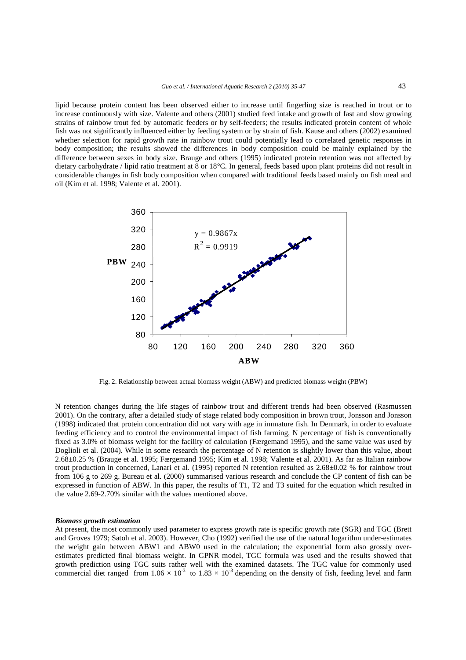lipid because protein content has been observed either to increase until fingerling size is reached in trout or to increase continuously with size. Valente and others (2001) studied feed intake and growth of fast and slow growing strains of rainbow trout fed by automatic feeders or by self-feeders; the results indicated protein content of whole fish was not significantly influenced either by feeding system or by strain of fish. Kause and others (2002) examined whether selection for rapid growth rate in rainbow trout could potentially lead to correlated genetic responses in body composition; the results showed the differences in body composition could be mainly explained by the difference between sexes in body size. Brauge and others (1995) indicated protein retention was not affected by dietary carbohydrate / lipid ratio treatment at 8 or 18°C. In general, feeds based upon plant proteins did not result in considerable changes in fish body composition when compared with traditional feeds based mainly on fish meal and oil (Kim et al. 1998; Valente et al. 2001).



Fig. 2. Relationship between actual biomass weight (ABW) and predicted biomass weight (PBW)

N retention changes during the life stages of rainbow trout and different trends had been observed (Rasmussen 2001). On the contrary, after a detailed study of stage related body composition in brown trout, Jonsson and Jonsson (1998) indicated that protein concentration did not vary with age in immature fish. In Denmark, in order to evaluate feeding efficiency and to control the environmental impact of fish farming, N percentage of fish is conventionally fixed as 3.0% of biomass weight for the facility of calculation (Færgemand 1995), and the same value was used by Doglioli et al. (2004). While in some research the percentage of N retention is slightly lower than this value, about 2.68±0.25 % (Brauge et al. 1995; Færgemand 1995; Kim et al. 1998; Valente et al. 2001). As far as Italian rainbow trout production in concerned, Lanari et al. (1995) reported N retention resulted as 2.68±0.02 % for rainbow trout from 106 g to 269 g. Bureau et al. (2000) summarised various research and conclude the CP content of fish can be expressed in function of ABW. In this paper, the results of T1, T2 and T3 suited for the equation which resulted in the value 2.69-2.70% similar with the values mentioned above.

#### *Biomass growth estimation*

At present, the most commonly used parameter to express growth rate is specific growth rate (SGR) and TGC (Brett and Groves 1979; Satoh et al. 2003). However, Cho (1992) verified the use of the natural logarithm under-estimates the weight gain between ABW1 and ABW0 used in the calculation; the exponential form also grossly overestimates predicted final biomass weight. In GPNR model, TGC formula was used and the results showed that growth prediction using TGC suits rather well with the examined datasets. The TGC value for commonly used commercial diet ranged from  $1.06 \times 10^{-3}$  to  $1.83 \times 10^{-3}$  depending on the density of fish, feeding level and farm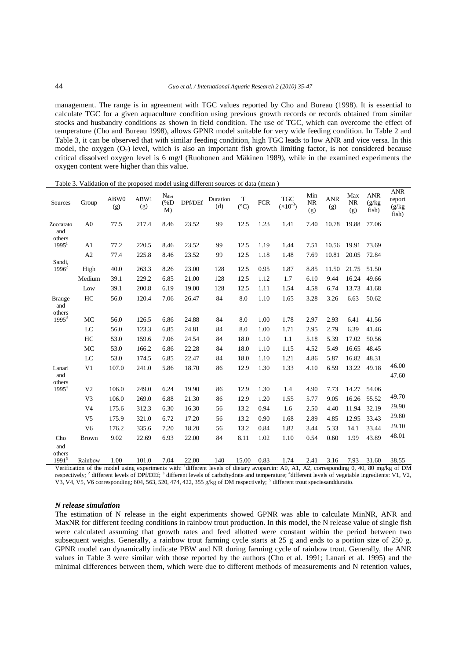management. The range is in agreement with TGC values reported by Cho and Bureau (1998). It is essential to calculate TGC for a given aquaculture condition using previous growth records or records obtained from similar stocks and husbandry conditions as shown in field condition. The use of TGC, which can overcome the effect of temperature (Cho and Bureau 1998), allows GPNR model suitable for very wide feeding condition. In Table 2 and Table 3, it can be observed that with similar feeding condition, high TGC leads to low ANR and vice versa. In this model, the oxygen  $(O_2)$  level, which is also an important fish growth limiting factor, is not considered because critical dissolved oxygen level is 6 mg/l (Ruohonen and Mäkinen 1989), while in the examined experiments the oxygen content were higher than this value.

| Sources                        | Group          | ABW0<br>(g) | ABW1<br>(g) | $N_{\text{dict}}$<br>$(\%D)$<br>M) | DPf/DEf                | Duration<br>(d) | T<br>$({}^{\circ}C)$ | <b>FCR</b> | <b>TGC</b><br>$(\times 10^{-3})$ | Min<br>NR<br>(g) | <b>ANR</b><br>(g) | Max<br><b>NR</b><br>(g) | <b>ANR</b><br>(g/kg)<br>fish) | <b>ANR</b><br>report<br>(g/kg)<br>fish) |
|--------------------------------|----------------|-------------|-------------|------------------------------------|------------------------|-----------------|----------------------|------------|----------------------------------|------------------|-------------------|-------------------------|-------------------------------|-----------------------------------------|
| Zoccarato<br>and<br>others     | A <sub>0</sub> | 77.5        | 217.4       | 8.46                               | 23.52                  | 99              | 12.5                 | 1.23       | 1.41                             | 7.40             | 10.78             | 19.88                   | 77.06                         |                                         |
| $1995^1$                       | A <sub>1</sub> | 77.2        | 220.5       | 8.46                               | 23.52                  | 99              | 12.5                 | 1.19       | 1.44                             | 7.51             | 10.56             | 19.91                   | 73.69                         |                                         |
|                                | A2             | 77.4        | 225.8       | 8.46                               | 23.52                  | 99              | 12.5                 | 1.18       | 1.48                             | 7.69             | 10.81             | 20.05                   | 72.84                         |                                         |
| Sandi,<br>$1996^2$             | High           | 40.0        | 263.3       | 8.26                               | 23.00                  | 128             | 12.5                 | 0.95       | 1.87                             | 8.85             | 11.50             | 21.75                   | 51.50                         |                                         |
|                                | Medium         | 39.1        | 229.2       | 6.85                               | 21.00                  | 128             | 12.5                 | 1.12       | 1.7                              | 6.10             | 9.44              | 16.24                   | 49.66                         |                                         |
|                                | Low            | 39.1        | 200.8       | 6.19                               | 19.00                  | 128             | 12.5                 | 1.11       | 1.54                             | 4.58             | 6.74              | 13.73                   | 41.68                         |                                         |
| <b>Brauge</b><br>and<br>others | HC             | 56.0        | 120.4       | 7.06                               | 26.47                  | 84              | 8.0                  | 1.10       | 1.65                             | 3.28             | 3.26              | 6.63                    | 50.62                         |                                         |
| $1995^3$                       | MC             | 56.0        | 126.5       | 6.86                               | 24.88                  | 84              | 8.0                  | 1.00       | 1.78                             | 2.97             | 2.93              | 6.41                    | 41.56                         |                                         |
|                                | LC             | 56.0        | 123.3       | 6.85                               | 24.81                  | 84              | 8.0                  | 1.00       | 1.71                             | 2.95             | 2.79              | 6.39                    | 41.46                         |                                         |
|                                | HC             | 53.0        | 159.6       | 7.06                               | 24.54                  | 84              | 18.0                 | 1.10       | 1.1                              | 5.18             | 5.39              | 17.02                   | 50.56                         |                                         |
|                                | MC             | 53.0        | 166.2       | 6.86                               | 22.28                  | 84              | 18.0                 | 1.10       | 1.15                             | 4.52             | 5.49              | 16.65                   | 48.45                         |                                         |
|                                | LC             | 53.0        | 174.5       | 6.85                               | 22.47                  | 84              | 18.0                 | 1.10       | 1.21                             | 4.86             | 5.87              | 16.82                   | 48.31                         |                                         |
| Lanari                         | V <sub>1</sub> | 107.0       | 241.0       | 5.86                               | 18.70                  | 86              | 12.9                 | 1.30       | 1.33                             | 4.10             | 6.59              | 13.22                   | 49.18                         | 46.00                                   |
| and<br>others                  |                |             |             |                                    |                        |                 |                      |            |                                  |                  |                   |                         |                               | 47.60                                   |
| 1995 <sup>4</sup>              | V <sub>2</sub> | 106.0       | 249.0       | 6.24                               | 19.90                  | 86              | 12.9                 | 1.30       | 1.4                              | 4.90             | 7.73              | 14.27                   | 54.06                         |                                         |
|                                | V <sub>3</sub> | 106.0       | 269.0       | 6.88                               | 21.30                  | 86              | 12.9                 | 1.20       | 1.55                             | 5.77             | 9.05              | 16.26                   | 55.52                         | 49.70                                   |
|                                | V4             | 175.6       | 312.3       | 6.30                               | 16.30                  | 56              | 13.2                 | 0.94       | 1.6                              | 2.50             | 4.40              | 11.94                   | 32.19                         | 29.90                                   |
|                                | V <sub>5</sub> | 175.9       | 321.0       | 6.72                               | 17.20                  | 56              | 13.2                 | 0.90       | 1.68                             | 2.89             | 4.85              | 12.95                   | 33.43                         | 29.80                                   |
|                                | V <sub>6</sub> | 176.2       | 335.6       | 7.20                               | 18.20                  | 56              | 13.2                 | 0.84       | 1.82                             | 3.44             | 5.33              | 14.1                    | 33.44                         | 29.10                                   |
| Cho<br>and<br>others           | <b>Brown</b>   | 9.02        | 22.69       | 6.93                               | 22.00                  | 84              | 8.11                 | 1.02       | 1.10                             | 0.54             | 0.60              | 1.99                    | 43.89                         | 48.01                                   |
| $1991^5$                       | Rainbow        | 1.00        | 101.0       | 7.04<br>$\mathbf{r}$               | 22.00<br>$\frac{1}{1}$ | 140<br>0.11     | 15.00                | 0.83       | 1.74                             | 2.41             | 3.16              | 7.93<br>$\sim$          | 31.60                         | 38.55                                   |

Table 3. Validation of the proposed model using different sources of data (mean )

Verification of the model using experiments with: different levels of dietary avoparcin: A0, A1, A2, corresponding 0, 40, 80 mg/kg of DM respectively; <sup>2</sup> different levels of DPf/DEf; <sup>3</sup> different levels of carbohydrate and temperature; <sup>4</sup>different levels of vegetable ingredients: V1, V2, V3, V4, V5, V6 corresponding; 604, 563, 520, 474, 422, 355 g/kg of DM respectively; <sup>5</sup> different trout speciesandduratio.

## *N release simulation*

The estimation of N release in the eight experiments showed GPNR was able to calculate MinNR, ANR and MaxNR for different feeding conditions in rainbow trout production. In this model, the N release value of single fish were calculated assuming that growth rates and feed allotted were constant within the period between two subsequent weighs. Generally, a rainbow trout farming cycle starts at 25 g and ends to a portion size of 250 g. GPNR model can dynamically indicate PBW and NR during farming cycle of rainbow trout. Generally, the ANR values in Table 3 were similar with those reported by the authors (Cho et al. 1991; Lanari et al. 1995) and the minimal differences between them, which were due to different methods of measurements and N retention values,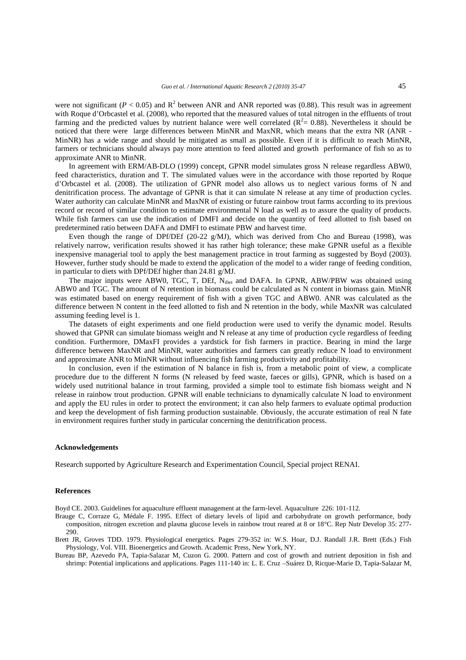were not significant ( $P < 0.05$ ) and  $R^2$  between ANR and ANR reported was (0.88). This result was in agreement with Roque d'Orbcastel et al. (2008), who reported that the measured values of total nitrogen in the effluents of trout farming and the predicted values by nutrient balance were well correlated  $(R^2 = 0.88)$ . Nevertheless it should be noticed that there were large differences between MinNR and MaxNR, which means that the extra NR (ANR - MinNR) has a wide range and should be mitigated as small as possible. Even if it is difficult to reach MinNR, farmers or technicians should always pay more attention to feed allotted and growth performance of fish so as to approximate ANR to MinNR.

In agreement with ERM/AB-DLO (1999) concept, GPNR model simulates gross N release regardless ABW0, feed characteristics, duration and T. The simulated values were in the accordance with those reported by Roque d'Orbcastel et al. (2008). The utilization of GPNR model also allows us to neglect various forms of N and denitrification process. The advantage of GPNR is that it can simulate N release at any time of production cycles. Water authority can calculate MinNR and MaxNR of existing or future rainbow trout farms according to its previous record or record of similar condition to estimate environmental N load as well as to assure the quality of products. While fish farmers can use the indication of DMFI and decide on the quantity of feed allotted to fish based on predetermined ratio between DAFA and DMFI to estimate PBW and harvest time.

Even though the range of DPf/DEf (20-22 g/MJ), which was derived from Cho and Bureau (1998), was relatively narrow, verification results showed it has rather high tolerance; these make GPNR useful as a flexible inexpensive managerial tool to apply the best management practice in trout farming as suggested by Boyd (2003). However, further study should be made to extend the application of the model to a wider range of feeding condition, in particular to diets with DPf/DEf higher than 24.81 g/MJ.

The major inputs were ABW0, TGC, T, DEf, N<sub>diet</sub> and DAFA. In GPNR, ABW/PBW was obtained using ABW0 and TGC. The amount of N retention in biomass could be calculated as N content in biomass gain. MinNR was estimated based on energy requirement of fish with a given TGC and ABW0. ANR was calculated as the difference between N content in the feed allotted to fish and N retention in the body, while MaxNR was calculated assuming feeding level is 1.

The datasets of eight experiments and one field production were used to verify the dynamic model. Results showed that GPNR can simulate biomass weight and N release at any time of production cycle regardless of feeding condition. Furthermore, DMaxFI provides a yardstick for fish farmers in practice. Bearing in mind the large difference between MaxNR and MinNR, water authorities and farmers can greatly reduce N load to environment and approximate ANR to MinNR without influencing fish farming productivity and profitability.

In conclusion, even if the estimation of N balance in fish is, from a metabolic point of view, a complicate procedure due to the different N forms (N released by feed waste, faeces or gills), GPNR, which is based on a widely used nutritional balance in trout farming, provided a simple tool to estimate fish biomass weight and N release in rainbow trout production. GPNR will enable technicians to dynamically calculate N load to environment and apply the EU rules in order to protect the environment; it can also help farmers to evaluate optimal production and keep the development of fish farming production sustainable. Obviously, the accurate estimation of real N fate in environment requires further study in particular concerning the denitrification process.

## **Acknowledgements**

Research supported by Agriculture Research and Experimentation Council, Special project RENAI.

#### **References**

Boyd CE. 2003. Guidelines for aquaculture effluent management at the farm-level. Aquaculture 226: 101-112.

Brauge C, Corraze G, Médale F. 1995. Effect of dietary levels of lipid and carbohydrate on growth performance, body composition, nitrogen excretion and plasma glucose levels in rainbow trout reared at 8 or 18°C. Rep Nutr Develop 35: 277- 290.

Brett JR, Groves TDD. 1979. Physiological energetics. Pages 279-352 in: W.S. Hoar, D.J. Randall J.R. Brett (Eds.) Fish Physiology, Vol. VIII. Bioenergetics and Growth. Academic Press, New York, NY.

Bureau BP, Azevedo PA, Tapia-Salazar M, Cuzon G. 2000. Pattern and cost of growth and nutrient deposition in fish and shrimp: Potential implications and applications. Pages 111-140 in: L. E. Cruz –Suárez D, Ricque-Marie D, Tapia-Salazar M,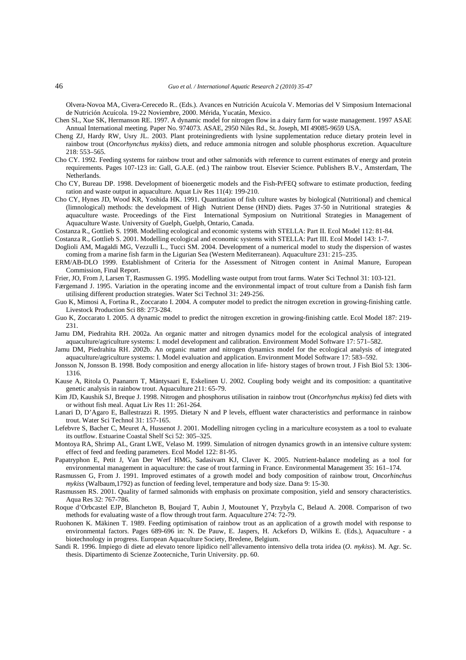Olvera-Novoa MA, Civera-Cerecedo R.. (Eds.). Avances en Nutrición Acuícola V. Memorias del V Simposium Internacional de Nutrición Acuícola. 19-22 Noviembre, 2000. Mérida, Yucatán, Mexico.

Chen SL, Xue SK, Hermanson RE. 1997. A dynamic model for nitrogen flow in a dairy farm for waste management. 1997 ASAE Annual International meeting. Paper No. 974073. ASAE, 2950 Niles Rd., St. Joseph, MI 49085-9659 USA.

- Cheng ZJ, Hardy RW, Usry JL. 2003. Plant proteiningredients with lysine supplementation reduce dietary protein level in rainbow trout (*Oncorhynchus mykiss*) diets, and reduce ammonia nitrogen and soluble phosphorus excretion. Aquaculture 218: 553–565.
- Cho CY. 1992. Feeding systems for rainbow trout and other salmonids with reference to current estimates of energy and protein requirements. Pages 107-123 in: Gall, G.A.E. (ed.) The rainbow trout. Elsevier Science. Publishers B.V., Amsterdam, The **Netherlands**.
- Cho CY, Bureau DP. 1998. Development of bioenergetic models and the Fish-PrFEQ software to estimate production, feeding ration and waste output in aquaculture. Aquat Liv Res 11(4): 199-210.
- Cho CY, Hynes JD, Wood KR, Yoshida HK. 1991. Quantitation of fish culture wastes by biological (Nutritional) and chemical (limnological) methods: the development of High Nutrient Dense (HND) diets. Pages 37-50 in Nutritional strategies & aquaculture waste. Proceedings of the First International Symposium on Nutritional Strategies in Management of Aquaculture Waste. University of Guelph, Guelph, Ontario, Canada.
- Costanza R., Gottlieb S. 1998. Modelling ecological and economic systems with STELLA: Part II. Ecol Model 112: 81-84.
- Costanza R., Gottlieb S. 2001. Modelling ecological and economic systems with STELLA: Part III. Ecol Model 143: 1-7.
- Doglioli AM, Magaldi MG, Vezzulli L., Tucci SM. 2004. Development of a numerical model to study the dispersion of wastes coming from a marine fish farm in the Ligurian Sea (Western Mediterranean). Aquaculture 231: 215–235.
- ERM/AB-DLO 1999. Establishment of Criteria for the Assessment of Nitrogen content in Animal Manure, European Commission, Final Report.
- Frier, JO, From J, Larsen T, Rasmussen G. 1995. Modelling waste output from trout farms. Water Sci Technol 31: 103-121.
- Færgemand J. 1995. Variation in the operating income and the environmental impact of trout culture from a Danish fish farm utilising different production strategies. Water Sci Technol 31: 249-256.
- Guo K, Mimosi A, Fortina R., Zoccarato I. 2004. A computer model to predict the nitrogen excretion in growing-finishing cattle. Livestock Production Sci 88: 273-284.
- Guo K, Zoccarato I. 2005. A dynamic model to predict the nitrogen excretion in growing-finishing cattle. Ecol Model 187: 219- 231.
- Jamu DM, Piedrahita RH. 2002a. An organic matter and nitrogen dynamics model for the ecological analysis of integrated aquaculture/agriculture systems: I. model development and calibration. Environment Model Software 17: 571–582.
- Jamu DM, Piedrahita RH. 2002b. An organic matter and nitrogen dynamics model for the ecological analysis of integrated aquaculture/agriculture systems: I. Model evaluation and application. Environment Model Software 17: 583–592.
- Jonsson N, Jonsson B. 1998. Body composition and energy allocation in life- history stages of brown trout. J Fish Biol 53: 1306- 1316.
- Kause A, Ritola O, Paananrn T, Mäntysaari E, Eskelinen U. 2002. Coupling body weight and its composition: a quantitative genetic analysis in rainbow trout. Aquaculture 211: 65-79.
- Kim JD, Kaushik SJ, Breque J. 1998. Nitrogen and phosphorus utilisation in rainbow trout (*Oncorhynchus mykiss*) fed diets with or without fish meal. Aquat Liv Res 11: 261-264.
- Lanari D, D'Agaro E, Ballestrazzi R. 1995. Dietary N and P levels, effluent water characteristics and performance in rainbow trout. Water Sci Technol 31: 157-165.
- Lefebvre S, Bacher C, Meuret A, Hussenot J. 2001. Modelling nitrogen cycling in a mariculture ecosystem as a tool to evaluate its outflow. Estuarine Coastal Shelf Sci 52: 305–325.
- Montoya RA, Shrimp AL, Grant LWE, Velaso M. 1999. Simulation of nitrogen dynamics growth in an intensive culture system: effect of feed and feeding parameters. Ecol Model 122: 81-95.
- Papatryphon E, Petit J, Van Der Werf HMG, Sadasivam KJ, Claver K. 2005. Nutrient-balance modeling as a tool for environmental management in aquaculture: the case of trout farming in France. Environmental Management 35: 161–174.
- Rasmussen G, From J. 1991. Improved estimates of a growth model and body composition of rainbow trout, *Oncorhinchus mykiss* (Walbaum,1792) as function of feeding level, temperature and body size. Dana 9: 15-30.
- Rasmussen RS. 2001. Quality of farmed salmonids with emphasis on proximate composition, yield and sensory characteristics. Aqua Res 32: 767-786.
- Roque d'Orbcastel EJP, Blancheton B, Boujard T, Aubin J, Moutounet Y, Przybyla C, Belaud A. 2008. Comparison of two methods for evaluating waste of a flow through trout farm. Aquaculture 274: 72-79.
- Ruohonen K. Mäkinen T. 1989. Feeding optimisation of rainbow trout as an application of a growth model with response to environmental factors. Pages 689-696 in: N. De Pauw, E. Jaspers, H. Ackefors D, Wilkins E. (Eds.), Aquaculture - a biotechnology in progress. European Aquaculture Society, Bredene, Belgium.
- Sandi R. 1996. Impiego di diete ad elevato tenore lipidico nell'allevamento intensivo della trota iridea (*O. mykiss*). M. Agr. Sc. thesis. Dipartimento di Scienze Zootecniche, Turin University. pp. 60.